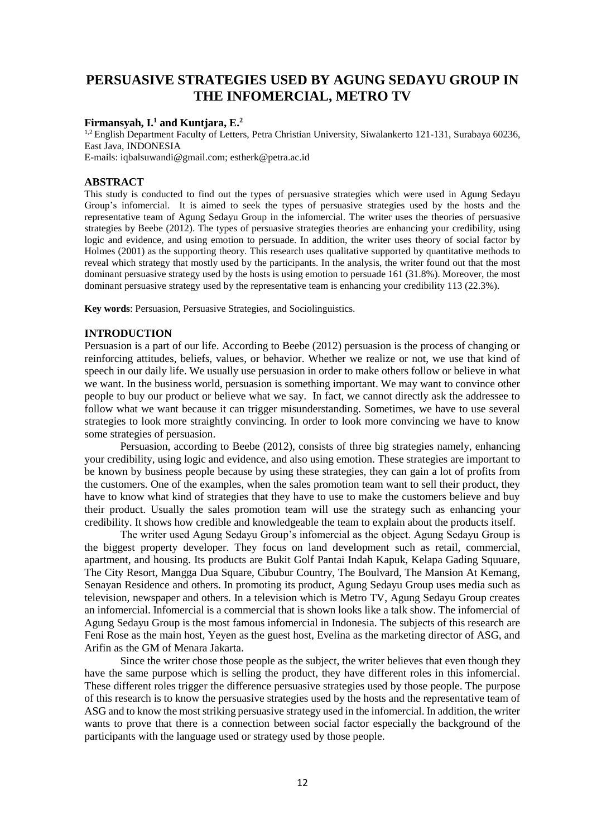# **PERSUASIVE STRATEGIES USED BY AGUNG SEDAYU GROUP IN THE INFOMERCIAL, METRO TV**

# **Firmansyah, I. <sup>1</sup> and Kuntjara, E. 2**

1,2 English Department Faculty of Letters, Petra Christian University, Siwalankerto 121-131, Surabaya 60236, East Java, INDONESIA

E-mails: [iqbalsuwandi@gmail.com;](mailto:iqbalsuwandi@gmail.com) [estherk@petra.ac.id](mailto:estherk@petra.ac.id)

### **ABSTRACT**

This study is conducted to find out the types of persuasive strategies which were used in Agung Sedayu Group's infomercial. It is aimed to seek the types of persuasive strategies used by the hosts and the representative team of Agung Sedayu Group in the infomercial. The writer uses the theories of persuasive strategies by Beebe (2012). The types of persuasive strategies theories are enhancing your credibility, using logic and evidence, and using emotion to persuade. In addition, the writer uses theory of social factor by Holmes (2001) as the supporting theory. This research uses qualitative supported by quantitative methods to reveal which strategy that mostly used by the participants. In the analysis, the writer found out that the most dominant persuasive strategy used by the hosts is using emotion to persuade 161 (31.8%). Moreover, the most dominant persuasive strategy used by the representative team is enhancing your credibility 113 (22.3%).

**Key words**: Persuasion, Persuasive Strategies, and Sociolinguistics.

#### **INTRODUCTION**

Persuasion is a part of our life. According to Beebe (2012) persuasion is the process of changing or reinforcing attitudes, beliefs, values, or behavior. Whether we realize or not, we use that kind of speech in our daily life. We usually use persuasion in order to make others follow or believe in what we want. In the business world, persuasion is something important. We may want to convince other people to buy our product or believe what we say. In fact, we cannot directly ask the addressee to follow what we want because it can trigger misunderstanding. Sometimes, we have to use several strategies to look more straightly convincing. In order to look more convincing we have to know some strategies of persuasion.

Persuasion, according to Beebe (2012), consists of three big strategies namely, enhancing your credibility, using logic and evidence, and also using emotion. These strategies are important to be known by business people because by using these strategies, they can gain a lot of profits from the customers. One of the examples, when the sales promotion team want to sell their product, they have to know what kind of strategies that they have to use to make the customers believe and buy their product. Usually the sales promotion team will use the strategy such as enhancing your credibility. It shows how credible and knowledgeable the team to explain about the products itself.

The writer used Agung Sedayu Group's infomercial as the object. Agung Sedayu Group is the biggest property developer. They focus on land development such as retail, commercial, apartment, and housing. Its products are Bukit Golf Pantai Indah Kapuk, Kelapa Gading Squuare, The City Resort, Mangga Dua Square, Cibubur Country, The Boulvard, The Mansion At Kemang, Senayan Residence and others. In promoting its product, Agung Sedayu Group uses media such as television, newspaper and others. In a television which is Metro TV, Agung Sedayu Group creates an infomercial. Infomercial is a commercial that is shown looks like a talk show. The infomercial of Agung Sedayu Group is the most famous infomercial in Indonesia. The subjects of this research are Feni Rose as the main host, Yeyen as the guest host, Evelina as the marketing director of ASG, and Arifin as the GM of Menara Jakarta.

Since the writer chose those people as the subject, the writer believes that even though they have the same purpose which is selling the product, they have different roles in this infomercial. These different roles trigger the difference persuasive strategies used by those people. The purpose of this research is to know the persuasive strategies used by the hosts and the representative team of ASG and to know the most striking persuasive strategy used in the infomercial. In addition, the writer wants to prove that there is a connection between social factor especially the background of the participants with the language used or strategy used by those people.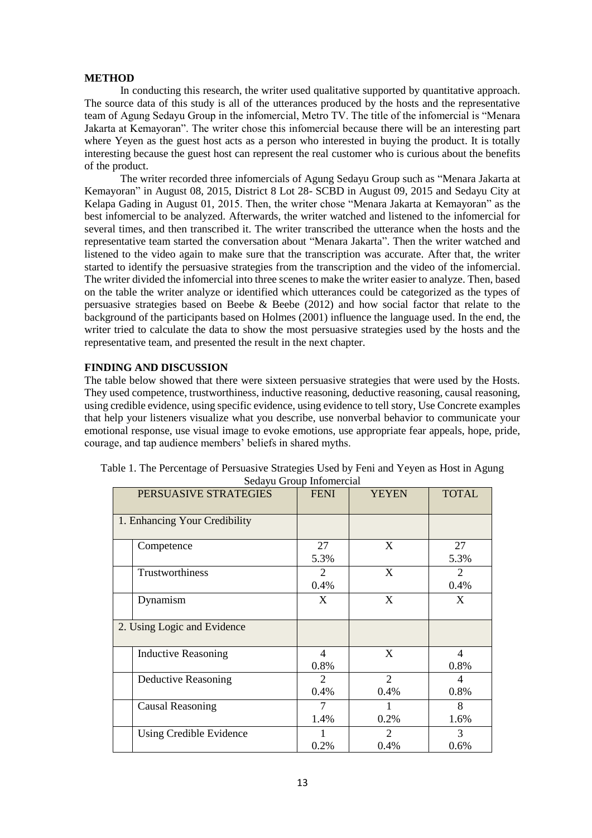# **METHOD**

In conducting this research, the writer used qualitative supported by quantitative approach. The source data of this study is all of the utterances produced by the hosts and the representative team of Agung Sedayu Group in the infomercial, Metro TV. The title of the infomercial is "Menara Jakarta at Kemayoran". The writer chose this infomercial because there will be an interesting part where Yeyen as the guest host acts as a person who interested in buying the product. It is totally interesting because the guest host can represent the real customer who is curious about the benefits of the product.

The writer recorded three infomercials of Agung Sedayu Group such as "Menara Jakarta at Kemayoran" in August 08, 2015, District 8 Lot 28- SCBD in August 09, 2015 and Sedayu City at Kelapa Gading in August 01, 2015. Then, the writer chose "Menara Jakarta at Kemayoran" as the best infomercial to be analyzed. Afterwards, the writer watched and listened to the infomercial for several times, and then transcribed it. The writer transcribed the utterance when the hosts and the representative team started the conversation about "Menara Jakarta". Then the writer watched and listened to the video again to make sure that the transcription was accurate. After that, the writer started to identify the persuasive strategies from the transcription and the video of the infomercial. The writer divided the infomercial into three scenes to make the writer easier to analyze. Then, based on the table the writer analyze or identified which utterances could be categorized as the types of persuasive strategies based on Beebe  $\&$  Beebe (2012) and how social factor that relate to the background of the participants based on Holmes (2001) influence the language used. In the end, the writer tried to calculate the data to show the most persuasive strategies used by the hosts and the representative team, and presented the result in the next chapter.

# **FINDING AND DISCUSSION**

The table below showed that there were sixteen persuasive strategies that were used by the Hosts. They used competence, trustworthiness, inductive reasoning, deductive reasoning, causal reasoning, using credible evidence, using specific evidence, using evidence to tell story, Use Concrete examples that help your listeners visualize what you describe, use nonverbal behavior to communicate your emotional response, use visual image to evoke emotions, use appropriate fear appeals, hope, pride, courage, and tap audience members' beliefs in shared myths.

|                               | PERSUASIVE STRATEGIES       | <b>FENI</b>                         | <b>YEYEN</b>          | <b>TOTAL</b>                        |
|-------------------------------|-----------------------------|-------------------------------------|-----------------------|-------------------------------------|
| 1. Enhancing Your Credibility |                             |                                     |                       |                                     |
|                               | Competence                  | 27<br>5.3%                          | X                     | 27<br>5.3%                          |
|                               | Trustworthiness             | $\mathcal{D}_{\mathcal{L}}$<br>0.4% | X                     | $\mathcal{D}_{\mathcal{L}}$<br>0.4% |
|                               | Dynamism                    | X                                   | X                     | X                                   |
|                               | 2. Using Logic and Evidence |                                     |                       |                                     |
|                               | <b>Inductive Reasoning</b>  | $\overline{4}$<br>0.8%              | X                     | $\overline{4}$<br>0.8%              |
|                               | Deductive Reasoning         | 2<br>0.4%                           | 2<br>0.4%             | 4<br>0.8%                           |
|                               | <b>Causal Reasoning</b>     | 7<br>1.4%                           | 0.2%                  | 8<br>1.6%                           |
|                               | Using Credible Evidence     | 0.2%                                | $\mathcal{P}$<br>0.4% | 3<br>0.6%                           |

| Table 1. The Percentage of Persuasive Strategies Used by Feni and Yeyen as Host in Agung |  |  |  |  |
|------------------------------------------------------------------------------------------|--|--|--|--|
| Sedayu Group Informercial                                                                |  |  |  |  |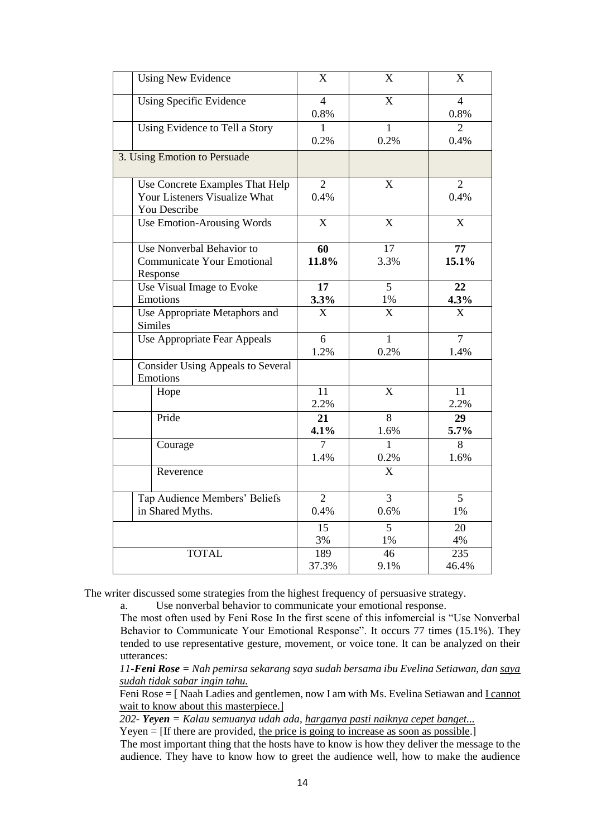| <b>Using New Evidence</b>                | X                     | X                       | X                      |
|------------------------------------------|-----------------------|-------------------------|------------------------|
| <b>Using Specific Evidence</b>           | $\overline{4}$        | $\overline{X}$          | $\overline{4}$         |
|                                          | 0.8%                  |                         | 0.8%                   |
| Using Evidence to Tell a Story           | $\mathbf{1}$          | $\overline{1}$          | $\overline{2}$         |
|                                          | 0.2%                  | 0.2%                    | 0.4%                   |
| 3. Using Emotion to Persuade             |                       |                         |                        |
| Use Concrete Examples That Help          | $\overline{2}$        | X                       | $\overline{2}$         |
| Your Listeners Visualize What            | 0.4%                  |                         | 0.4%                   |
| You Describe                             |                       |                         |                        |
| <b>Use Emotion-Arousing Words</b>        | X                     | X                       | $\overline{X}$         |
| Use Nonverbal Behavior to                | 60                    | $\overline{17}$         | 77                     |
| <b>Communicate Your Emotional</b>        | 11.8%                 | 3.3%                    | 15.1%                  |
| Response                                 |                       |                         |                        |
| Use Visual Image to Evoke                | 17                    | 5                       | 22                     |
| Emotions                                 | 3.3%                  | $1\%$                   | 4.3%                   |
| Use Appropriate Metaphors and            | $\overline{\text{X}}$ | $\overline{X}$          | $\overline{\text{X}}$  |
| <b>Similes</b>                           |                       |                         |                        |
| Use Appropriate Fear Appeals             | 6                     | $\mathbf{1}$            | $\overline{7}$         |
|                                          | 1.2%                  | 0.2%                    | 1.4%                   |
| <b>Consider Using Appeals to Several</b> |                       |                         |                        |
| Emotions                                 |                       |                         |                        |
| Hope                                     | $\overline{11}$       | $\mathbf X$             | 11                     |
|                                          | 2.2%                  |                         | 2.2%                   |
| Pride                                    | 21                    | $\overline{8}$          | 29                     |
|                                          | 4.1%                  | 1.6%                    | 5.7%                   |
| Courage                                  | 7<br>1.4%             | $\mathbf{1}$            | $\overline{8}$<br>1.6% |
|                                          |                       | 0.2%                    |                        |
| Reverence                                |                       | $\overline{\mathbf{X}}$ |                        |
| Tap Audience Members' Beliefs            | $\overline{2}$        | $\overline{3}$          | $\overline{5}$         |
| in Shared Myths.                         | 0.4%                  | 0.6%                    | 1%                     |
|                                          | 15                    | $\overline{5}$          | $\overline{20}$        |
|                                          | 3%                    | 1%                      | 4%                     |
| <b>TOTAL</b>                             | 189                   | 46                      | 235                    |
|                                          | 37.3%                 | 9.1%                    | 46.4%                  |

The writer discussed some strategies from the highest frequency of persuasive strategy.

a. Use nonverbal behavior to communicate your emotional response.

The most often used by Feni Rose In the first scene of this infomercial is "Use Nonverbal Behavior to Communicate Your Emotional Response". It occurs 77 times (15.1%). They tended to use representative gesture, movement, or voice tone. It can be analyzed on their utterances:

*11-Feni Rose = Nah pemirsa sekarang saya sudah bersama ibu Evelina Setiawan, dan saya sudah tidak sabar ingin tahu.* 

Feni Rose = [ Naah Ladies and gentlemen, now I am with Ms. Evelina Setiawan and **I cannot** wait to know about this masterpiece.]

*202- Yeyen = Kalau semuanya udah ada, harganya pasti naiknya cepet banget...*

Yeyen = [If there are provided, the price is going to increase as soon as possible.]

The most important thing that the hosts have to know is how they deliver the message to the audience. They have to know how to greet the audience well, how to make the audience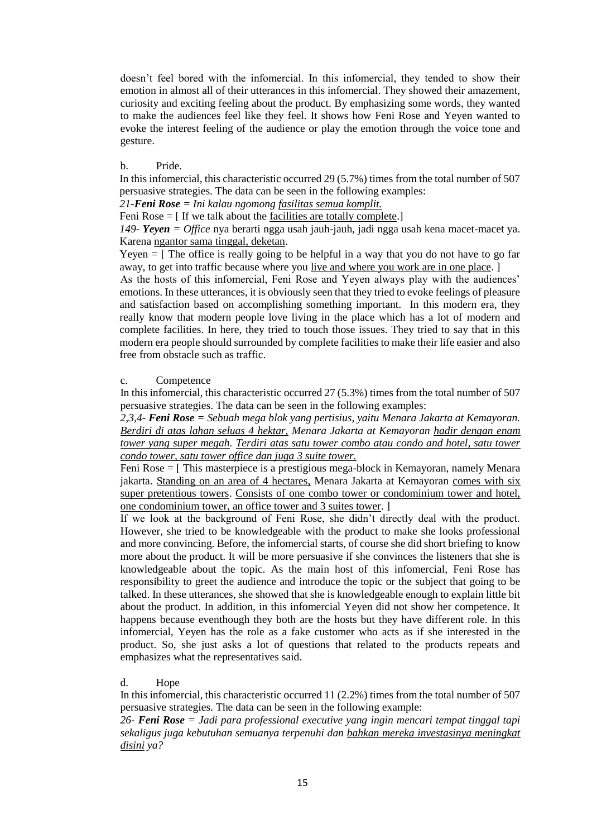doesn't feel bored with the infomercial. In this infomercial, they tended to show their emotion in almost all of their utterances in this infomercial. They showed their amazement, curiosity and exciting feeling about the product. By emphasizing some words, they wanted to make the audiences feel like they feel. It shows how Feni Rose and Yeyen wanted to evoke the interest feeling of the audience or play the emotion through the voice tone and gesture.

# b. Pride.

In this infomercial, this characteristic occurred 29 (5.7%) times from the total number of 507 persuasive strategies. The data can be seen in the following examples:

*21-Feni Rose = Ini kalau ngomong fasilitas semua komplit.* 

Feni Rose  $=$  [ If we talk about the facilities are totally complete.]

*149- Yeyen = Office* nya berarti ngga usah jauh-jauh, jadi ngga usah kena macet-macet ya. Karena ngantor sama tinggal, deketan.

Yeyen  $=$  [ The office is really going to be helpful in a way that you do not have to go far away, to get into traffic because where you live and where you work are in one place. ]

As the hosts of this infomercial, Feni Rose and Yeyen always play with the audiences' emotions. In these utterances, it is obviously seen that they tried to evoke feelings of pleasure and satisfaction based on accomplishing something important. In this modern era, they really know that modern people love living in the place which has a lot of modern and complete facilities. In here, they tried to touch those issues. They tried to say that in this modern era people should surrounded by complete facilities to make their life easier and also free from obstacle such as traffic.

## c. Competence

In this infomercial, this characteristic occurred 27 (5.3%) times from the total number of 507 persuasive strategies. The data can be seen in the following examples:

*2,3,4- Feni Rose = Sebuah mega blok yang pertisius, yaitu Menara Jakarta at Kemayoran. Berdiri di atas lahan seluas 4 hektar, Menara Jakarta at Kemayoran hadir dengan enam tower yang super megah. Terdiri atas satu tower combo atau condo and hotel, satu tower condo tower, satu tower office dan juga 3 suite tower.*

Feni Rose = [ This masterpiece is a prestigious mega-block in Kemayoran, namely Menara jakarta. Standing on an area of 4 hectares, Menara Jakarta at Kemayoran comes with six super pretentious towers. Consists of one combo tower or condominium tower and hotel, one condominium tower, an office tower and 3 suites tower. ]

If we look at the background of Feni Rose, she didn't directly deal with the product. However, she tried to be knowledgeable with the product to make she looks professional and more convincing. Before, the infomercial starts, of course she did short briefing to know more about the product. It will be more persuasive if she convinces the listeners that she is knowledgeable about the topic. As the main host of this infomercial, Feni Rose has responsibility to greet the audience and introduce the topic or the subject that going to be talked. In these utterances, she showed that she is knowledgeable enough to explain little bit about the product. In addition, in this infomercial Yeyen did not show her competence. It happens because eventhough they both are the hosts but they have different role. In this infomercial, Yeyen has the role as a fake customer who acts as if she interested in the product. So, she just asks a lot of questions that related to the products repeats and emphasizes what the representatives said.

d. Hope

In this infomercial, this characteristic occurred 11 (2.2%) times from the total number of 507 persuasive strategies. The data can be seen in the following example:

*26- Feni Rose = Jadi para professional executive yang ingin mencari tempat tinggal tapi sekaligus juga kebutuhan semuanya terpenuhi dan bahkan mereka investasinya meningkat disini ya?*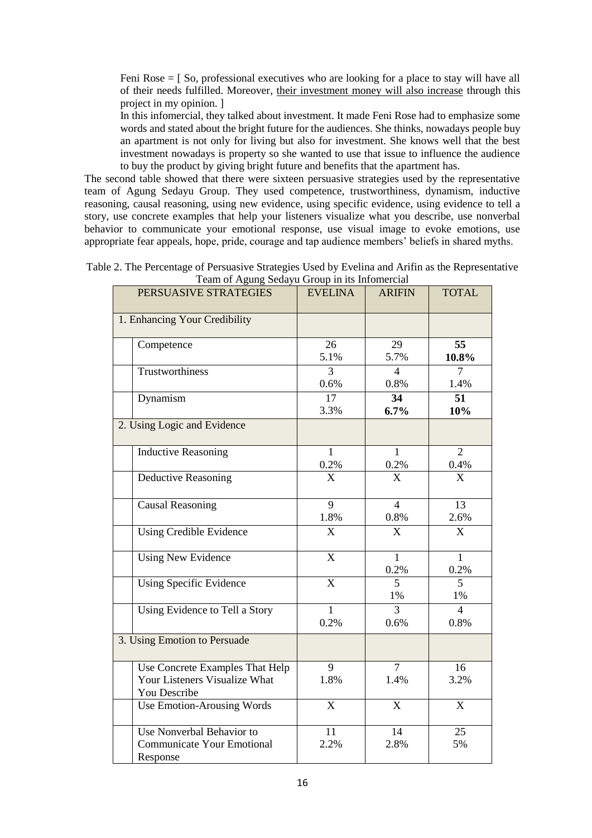Feni Rose = [ So, professional executives who are looking for a place to stay will have all of their needs fulfilled. Moreover, their investment money will also increase through this project in my opinion. ]

In this infomercial, they talked about investment. It made Feni Rose had to emphasize some words and stated about the bright future for the audiences. She thinks, nowadays people buy an apartment is not only for living but also for investment. She knows well that the best investment nowadays is property so she wanted to use that issue to influence the audience to buy the product by giving bright future and benefits that the apartment has.

The second table showed that there were sixteen persuasive strategies used by the representative team of Agung Sedayu Group. They used competence, trustworthiness, dynamism, inductive reasoning, causal reasoning, using new evidence, using specific evidence, using evidence to tell a story, use concrete examples that help your listeners visualize what you describe, use nonverbal behavior to communicate your emotional response, use visual image to evoke emotions, use appropriate fear appeals, hope, pride, courage and tap audience members' beliefs in shared myths.

| Team of Agung Sedayu Group in its Infomercial                                    |                           |                        |                         |  |
|----------------------------------------------------------------------------------|---------------------------|------------------------|-------------------------|--|
| PERSUASIVE STRATEGIES                                                            | <b>EVELINA</b>            | <b>ARIFIN</b>          | <b>TOTAL</b>            |  |
| 1. Enhancing Your Credibility                                                    |                           |                        |                         |  |
| Competence                                                                       | 26<br>5.1%                | 29<br>5.7%             | 55<br>$10.8\%$          |  |
| Trustworthiness                                                                  | 3<br>0.6%                 | $\overline{4}$<br>0.8% | $\overline{7}$<br>1.4%  |  |
| Dynamism                                                                         | $\overline{17}$<br>3.3%   | 34<br>6.7%             | 51<br>10%               |  |
| 2. Using Logic and Evidence                                                      |                           |                        |                         |  |
| <b>Inductive Reasoning</b>                                                       | $\overline{1}$<br>0.2%    | $\overline{1}$<br>0.2% | $\overline{2}$<br>0.4%  |  |
| <b>Deductive Reasoning</b>                                                       | $\overline{\mathbf{X}}$   | $\overline{X}$         | $\overline{X}$          |  |
| <b>Causal Reasoning</b>                                                          | $\overline{9}$<br>1.8%    | $\overline{4}$<br>0.8% | $\overline{13}$<br>2.6% |  |
| <b>Using Credible Evidence</b>                                                   | X                         | $\boldsymbol{X}$       | X                       |  |
| <b>Using New Evidence</b>                                                        | $\boldsymbol{\mathrm{X}}$ | $\mathbf{1}$<br>0.2%   | $\mathbf{1}$<br>0.2%    |  |
| <b>Using Specific Evidence</b>                                                   | $\overline{X}$            | 5<br>1%                | 5<br>1%                 |  |
| Using Evidence to Tell a Story                                                   | 1<br>0.2%                 | $\overline{3}$<br>0.6% | $\overline{4}$<br>0.8%  |  |
| 3. Using Emotion to Persuade                                                     |                           |                        |                         |  |
| Use Concrete Examples That Help<br>Your Listeners Visualize What<br>You Describe | 9<br>1.8%                 | $\overline{7}$<br>1.4% | 16<br>3.2%              |  |
| Use Emotion-Arousing Words                                                       | $\overline{\text{X}}$     | X                      | X                       |  |
| Use Nonverbal Behavior to<br><b>Communicate Your Emotional</b><br>Response       | 11<br>2.2%                | 14<br>2.8%             | 25<br>5%                |  |

Table 2. The Percentage of Persuasive Strategies Used by Evelina and Arifin as the Representative  $T_{\alpha\alpha}$  of  $\Lambda$ gung Sedayu Group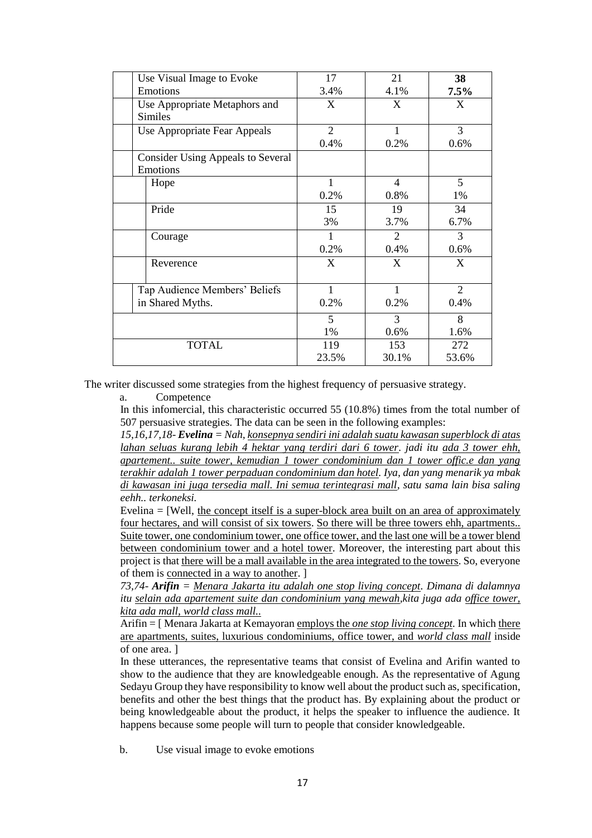|              | Use Visual Image to Evoke                | 17             | 21             | 38             |
|--------------|------------------------------------------|----------------|----------------|----------------|
|              | Emotions                                 | 3.4%           | 4.1%           | $7.5\%$        |
|              | Use Appropriate Metaphors and            | X              | X              | X              |
|              | <b>Similes</b>                           |                |                |                |
|              | Use Appropriate Fear Appeals             | $\overline{2}$ | 1              | 3              |
|              |                                          | 0.4%           | 0.2%           | 0.6%           |
|              | <b>Consider Using Appeals to Several</b> |                |                |                |
|              | Emotions                                 |                |                |                |
|              | Hope                                     | 1              | $\overline{4}$ | 5              |
|              |                                          | 0.2%           | 0.8%           | 1%             |
|              | Pride                                    | 15             | 19             | 34             |
|              |                                          | 3%             | 3.7%           | 6.7%           |
|              | Courage                                  | 1              | $\mathfrak{D}$ | 3              |
|              |                                          | 0.2%           | 0.4%           | 0.6%           |
|              | Reverence                                | X              | X              | X              |
|              |                                          |                |                |                |
|              | Tap Audience Members' Beliefs            | 1              | $\mathbf{1}$   | $\overline{2}$ |
|              | in Shared Myths.                         | 0.2%           | 0.2%           | 0.4%           |
|              |                                          | 5              | 3              | 8              |
|              |                                          | 1%             | 0.6%           | 1.6%           |
| <b>TOTAL</b> |                                          | 119            | 153            | 272            |
|              |                                          | 23.5%          | 30.1%          | 53.6%          |

The writer discussed some strategies from the highest frequency of persuasive strategy.

a. Competence

In this infomercial, this characteristic occurred 55 (10.8%) times from the total number of 507 persuasive strategies. The data can be seen in the following examples:

*15,16,17,18- Evelina = Nah, konsepnya sendiri ini adalah suatu kawasan superblock di atas lahan seluas kurang lebih 4 hektar yang terdiri dari 6 tower. jadi itu ada 3 tower ehh, apartement.. suite tower, kemudian 1 tower condominium dan 1 tower offic.e dan yang terakhir adalah 1 tower perpaduan condominium dan hotel. Iya, dan yang menarik ya mbak di kawasan ini juga tersedia mall. Ini semua terintegrasi mall, satu sama lain bisa saling eehh.. terkoneksi.* 

Evelina = [Well, the concept itself is a super-block area built on an area of approximately four hectares, and will consist of six towers. So there will be three towers ehh, apartments.. Suite tower, one condominium tower, one office tower, and the last one will be a tower blend between condominium tower and a hotel tower. Moreover, the interesting part about this project is that there will be a mall available in the area integrated to the towers. So, everyone of them is connected in a way to another. ]

*73,74- Arifin = Menara Jakarta itu adalah one stop living concept. Dimana di dalamnya itu selain ada apartement suite dan condominium yang mewah,kita juga ada office tower, kita ada mall, world class mall..*

Arifin = [ Menara Jakarta at Kemayoran employs the *one stop living concept.* In which there are apartments, suites, luxurious condominiums, office tower, and *world class mall* inside of one area. ]

In these utterances, the representative teams that consist of Evelina and Arifin wanted to show to the audience that they are knowledgeable enough. As the representative of Agung Sedayu Group they have responsibility to know well about the product such as, specification, benefits and other the best things that the product has. By explaining about the product or being knowledgeable about the product, it helps the speaker to influence the audience. It happens because some people will turn to people that consider knowledgeable.

b. Use visual image to evoke emotions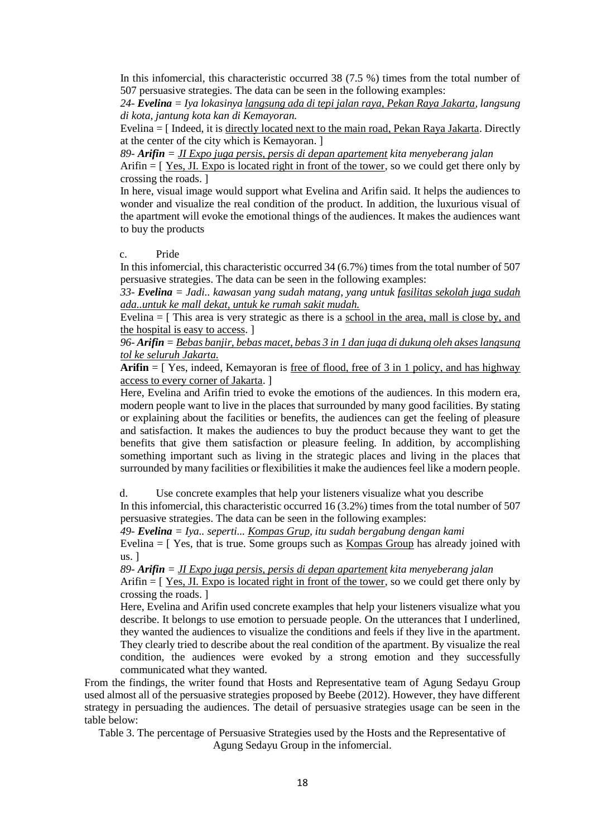In this infomercial, this characteristic occurred 38 (7.5 %) times from the total number of 507 persuasive strategies. The data can be seen in the following examples:

*24- Evelina = Iya lokasinya langsung ada di tepi jalan raya, Pekan Raya Jakarta, langsung di kota, jantung kota kan di Kemayoran.*

Evelina = [ Indeed, it is directly located next to the main road, Pekan Raya Jakarta. Directly at the center of the city which is Kemayoran. ]

*89- Arifin = JI Expo juga persis, persis di depan apartement kita menyeberang jalan* 

Arifin  $=$  [Yes, JI. Expo is located right in front of the tower, so we could get there only by crossing the roads. ]

In here, visual image would support what Evelina and Arifin said. It helps the audiences to wonder and visualize the real condition of the product. In addition, the luxurious visual of the apartment will evoke the emotional things of the audiences. It makes the audiences want to buy the products

c. Pride

In this infomercial, this characteristic occurred 34 (6.7%) times from the total number of 507 persuasive strategies. The data can be seen in the following examples:

*33- Evelina = Jadi.. kawasan yang sudah matang, yang untuk fasilitas sekolah juga sudah ada..untuk ke mall dekat, untuk ke rumah sakit mudah.*

Evelina  $=$  [ This area is very strategic as there is a school in the area, mall is close by, and the hospital is easy to access. ]

*96- Arifin = Bebas banjir, bebas macet, bebas 3 in 1 dan juga di dukung oleh akses langsung tol ke seluruh Jakarta.* 

**Arifin** = [ Yes, indeed, Kemayoran is free of flood, free of 3 in 1 policy, and has highway access to every corner of Jakarta. ]

Here, Evelina and Arifin tried to evoke the emotions of the audiences. In this modern era, modern people want to live in the places that surrounded by many good facilities. By stating or explaining about the facilities or benefits, the audiences can get the feeling of pleasure and satisfaction. It makes the audiences to buy the product because they want to get the benefits that give them satisfaction or pleasure feeling. In addition, by accomplishing something important such as living in the strategic places and living in the places that surrounded by many facilities or flexibilities it make the audiences feel like a modern people.

d. Use concrete examples that help your listeners visualize what you describe

In this infomercial, this characteristic occurred 16 (3.2%) times from the total number of 507 persuasive strategies. The data can be seen in the following examples:

*49- Evelina = Iya.. seperti... Kompas Grup, itu sudah bergabung dengan kami* 

Evelina = [ Yes, that is true. Some groups such as Kompas Group has already joined with us. ]

*89- Arifin = JI Expo juga persis, persis di depan apartement kita menyeberang jalan*  Arifin = [ Yes, JI. Expo is located right in front of the tower, so we could get there only by crossing the roads. ]

Here, Evelina and Arifin used concrete examples that help your listeners visualize what you describe. It belongs to use emotion to persuade people. On the utterances that I underlined, they wanted the audiences to visualize the conditions and feels if they live in the apartment. They clearly tried to describe about the real condition of the apartment. By visualize the real condition, the audiences were evoked by a strong emotion and they successfully communicated what they wanted.

From the findings, the writer found that Hosts and Representative team of Agung Sedayu Group used almost all of the persuasive strategies proposed by Beebe (2012). However, they have different strategy in persuading the audiences. The detail of persuasive strategies usage can be seen in the table below:

Table 3. The percentage of Persuasive Strategies used by the Hosts and the Representative of Agung Sedayu Group in the infomercial.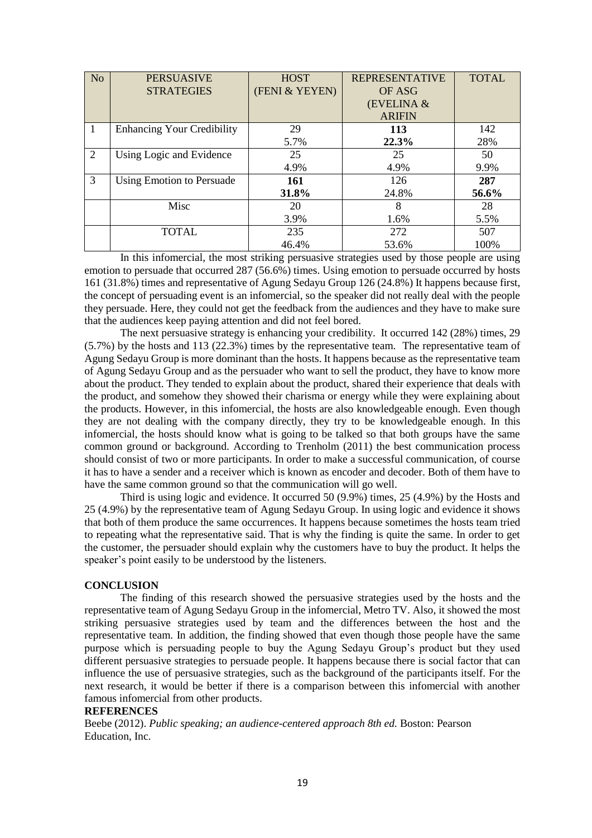| N <sub>o</sub> | <b>PERSUASIVE</b>                 | <b>HOST</b>    | <b>REPRESENTATIVE</b> | <b>TOTAL</b> |
|----------------|-----------------------------------|----------------|-----------------------|--------------|
|                | <b>STRATEGIES</b>                 | (FENI & YEYEN) | OF ASG                |              |
|                |                                   |                | (EVELINA &            |              |
|                |                                   |                | <b>ARIFIN</b>         |              |
| $\mathbf{1}$   | <b>Enhancing Your Credibility</b> | 29             | <b>113</b>            | 142          |
|                |                                   | 5.7%           | 22.3%                 | 28%          |
| 2              | Using Logic and Evidence          | 25             | 25                    | 50           |
|                |                                   | 4.9%           | 4.9%                  | 9.9%         |
| 3              | Using Emotion to Persuade         | 161            | 126                   | 287          |
|                |                                   | 31.8%          | 24.8%                 | 56.6%        |
|                | Misc                              | 20             | 8                     | 28           |
|                |                                   | 3.9%           | 1.6%                  | 5.5%         |
|                | <b>TOTAL</b>                      | 235            | 272                   | 507          |
|                |                                   | 46.4%          | 53.6%                 | 100%         |

In this infomercial, the most striking persuasive strategies used by those people are using emotion to persuade that occurred 287 (56.6%) times. Using emotion to persuade occurred by hosts 161 (31.8%) times and representative of Agung Sedayu Group 126 (24.8%) It happens because first, the concept of persuading event is an infomercial, so the speaker did not really deal with the people they persuade. Here, they could not get the feedback from the audiences and they have to make sure that the audiences keep paying attention and did not feel bored.

The next persuasive strategy is enhancing your credibility. It occurred 142 (28%) times, 29 (5.7%) by the hosts and 113 (22.3%) times by the representative team. The representative team of Agung Sedayu Group is more dominant than the hosts. It happens because as the representative team of Agung Sedayu Group and as the persuader who want to sell the product, they have to know more about the product. They tended to explain about the product, shared their experience that deals with the product, and somehow they showed their charisma or energy while they were explaining about the products. However, in this infomercial, the hosts are also knowledgeable enough. Even though they are not dealing with the company directly, they try to be knowledgeable enough. In this infomercial, the hosts should know what is going to be talked so that both groups have the same common ground or background. According to Trenholm (2011) the best communication process should consist of two or more participants. In order to make a successful communication, of course it has to have a sender and a receiver which is known as encoder and decoder. Both of them have to have the same common ground so that the communication will go well.

Third is using logic and evidence. It occurred 50 (9.9%) times, 25 (4.9%) by the Hosts and 25 (4.9%) by the representative team of Agung Sedayu Group. In using logic and evidence it shows that both of them produce the same occurrences. It happens because sometimes the hosts team tried to repeating what the representative said. That is why the finding is quite the same. In order to get the customer, the persuader should explain why the customers have to buy the product. It helps the speaker's point easily to be understood by the listeners.

# **CONCLUSION**

The finding of this research showed the persuasive strategies used by the hosts and the representative team of Agung Sedayu Group in the infomercial, Metro TV. Also, it showed the most striking persuasive strategies used by team and the differences between the host and the representative team. In addition, the finding showed that even though those people have the same purpose which is persuading people to buy the Agung Sedayu Group's product but they used different persuasive strategies to persuade people. It happens because there is social factor that can influence the use of persuasive strategies, such as the background of the participants itself. For the next research, it would be better if there is a comparison between this infomercial with another famous infomercial from other products.

## **REFERENCES**

Beebe (2012). *Public speaking; an audience-centered approach 8th ed.* Boston: Pearson Education, Inc.